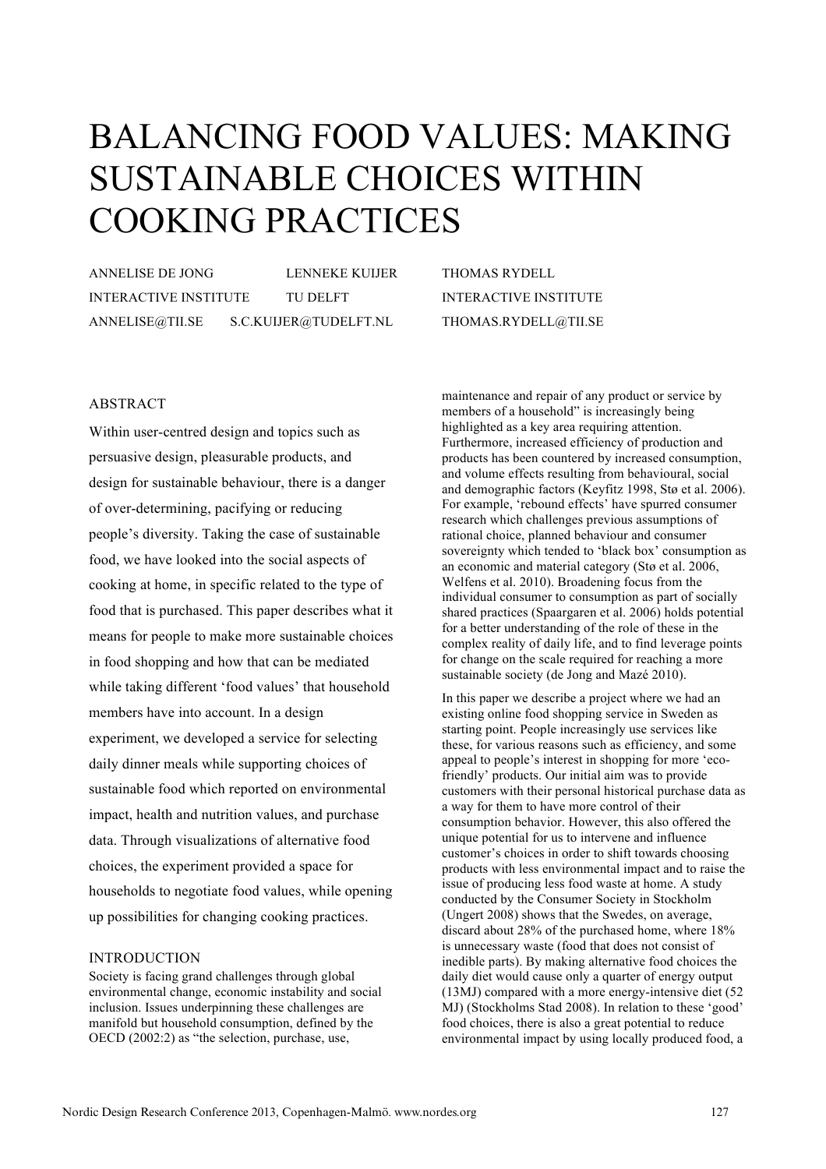# BALANCING FOOD VALUES: MAKING SUSTAINABLE CHOICES WITHIN COOKING PRACTICES

ANNELISE DE JONG LENNEKE KUIJER INTERACTIVE INSTITUTE TU DELFT ANNELISE@TII.SE S.C.KUIJER@TUDELFT.NL

THOMAS RYDELL INTERACTIVE INSTITUTE THOMAS.RYDELL@TII.SE

# ABSTRACT

Within user-centred design and topics such as persuasive design, pleasurable products, and design for sustainable behaviour, there is a danger of over-determining, pacifying or reducing people's diversity. Taking the case of sustainable food, we have looked into the social aspects of cooking at home, in specific related to the type of food that is purchased. This paper describes what it means for people to make more sustainable choices in food shopping and how that can be mediated while taking different 'food values' that household members have into account. In a design experiment, we developed a service for selecting daily dinner meals while supporting choices of sustainable food which reported on environmental impact, health and nutrition values, and purchase data. Through visualizations of alternative food choices, the experiment provided a space for households to negotiate food values, while opening up possibilities for changing cooking practices.

## INTRODUCTION

Society is facing grand challenges through global environmental change, economic instability and social inclusion. Issues underpinning these challenges are manifold but household consumption, defined by the OECD (2002:2) as "the selection, purchase, use,

maintenance and repair of any product or service by members of a household" is increasingly being highlighted as a key area requiring attention. Furthermore, increased efficiency of production and products has been countered by increased consumption, and volume effects resulting from behavioural, social and demographic factors (Keyfitz 1998, Stø et al. 2006). For example, 'rebound effects' have spurred consumer research which challenges previous assumptions of rational choice, planned behaviour and consumer sovereignty which tended to 'black box' consumption as an economic and material category (Stø et al. 2006, Welfens et al. 2010). Broadening focus from the individual consumer to consumption as part of socially shared practices (Spaargaren et al. 2006) holds potential for a better understanding of the role of these in the complex reality of daily life, and to find leverage points for change on the scale required for reaching a more sustainable society (de Jong and Mazé 2010).

In this paper we describe a project where we had an existing online food shopping service in Sweden as starting point. People increasingly use services like these, for various reasons such as efficiency, and some appeal to people's interest in shopping for more 'ecofriendly' products. Our initial aim was to provide customers with their personal historical purchase data as a way for them to have more control of their consumption behavior. However, this also offered the unique potential for us to intervene and influence customer's choices in order to shift towards choosing products with less environmental impact and to raise the issue of producing less food waste at home. A study conducted by the Consumer Society in Stockholm (Ungert 2008) shows that the Swedes, on average, discard about 28% of the purchased home, where 18% is unnecessary waste (food that does not consist of inedible parts). By making alternative food choices the daily diet would cause only a quarter of energy output (13MJ) compared with a more energy-intensive diet (52 MJ) (Stockholms Stad 2008). In relation to these 'good' food choices, there is also a great potential to reduce environmental impact by using locally produced food, a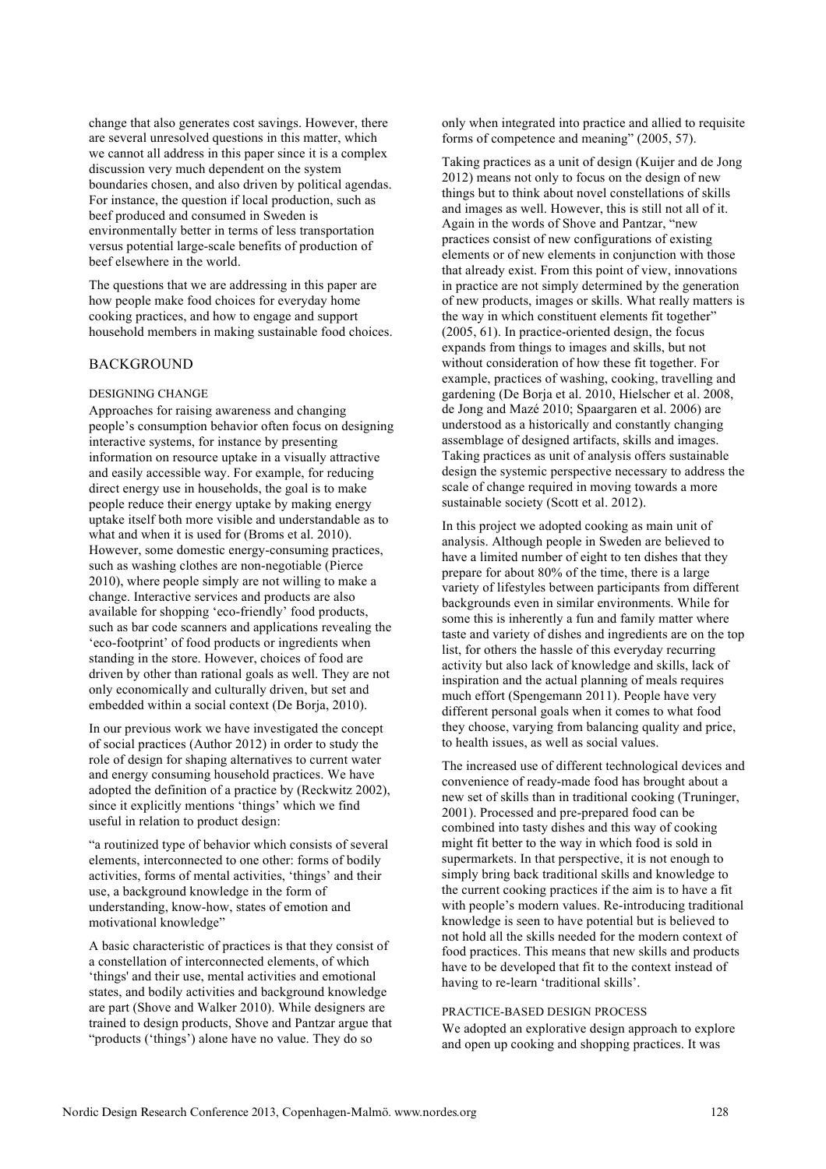change that also generates cost savings. However, there are several unresolved questions in this matter, which we cannot all address in this paper since it is a complex discussion very much dependent on the system boundaries chosen, and also driven by political agendas. For instance, the question if local production, such as beef produced and consumed in Sweden is environmentally better in terms of less transportation versus potential large-scale benefits of production of beef elsewhere in the world.

The questions that we are addressing in this paper are how people make food choices for everyday home cooking practices, and how to engage and support household members in making sustainable food choices.

## **BACKGROUND**

#### DESIGNING CHANGE

Approaches for raising awareness and changing people's consumption behavior often focus on designing interactive systems, for instance by presenting information on resource uptake in a visually attractive and easily accessible way. For example, for reducing direct energy use in households, the goal is to make people reduce their energy uptake by making energy uptake itself both more visible and understandable as to what and when it is used for (Broms et al. 2010). However, some domestic energy-consuming practices, such as washing clothes are non-negotiable (Pierce 2010), where people simply are not willing to make a change. Interactive services and products are also available for shopping 'eco-friendly' food products, such as bar code scanners and applications revealing the 'eco-footprint' of food products or ingredients when standing in the store. However, choices of food are driven by other than rational goals as well. They are not only economically and culturally driven, but set and embedded within a social context (De Borja, 2010).

In our previous work we have investigated the concept of social practices (Author 2012) in order to study the role of design for shaping alternatives to current water and energy consuming household practices. We have adopted the definition of a practice by (Reckwitz 2002), since it explicitly mentions 'things' which we find useful in relation to product design:

"a routinized type of behavior which consists of several elements, interconnected to one other: forms of bodily activities, forms of mental activities, 'things' and their use, a background knowledge in the form of understanding, know-how, states of emotion and motivational knowledge"

A basic characteristic of practices is that they consist of a constellation of interconnected elements, of which 'things' and their use, mental activities and emotional states, and bodily activities and background knowledge are part (Shove and Walker 2010). While designers are trained to design products, Shove and Pantzar argue that "products ('things') alone have no value. They do so

only when integrated into practice and allied to requisite forms of competence and meaning" (2005, 57).

Taking practices as a unit of design (Kuijer and de Jong 2012) means not only to focus on the design of new things but to think about novel constellations of skills and images as well. However, this is still not all of it. Again in the words of Shove and Pantzar, "new practices consist of new configurations of existing elements or of new elements in conjunction with those that already exist. From this point of view, innovations in practice are not simply determined by the generation of new products, images or skills. What really matters is the way in which constituent elements fit together" (2005, 61). In practice-oriented design, the focus expands from things to images and skills, but not without consideration of how these fit together. For example, practices of washing, cooking, travelling and gardening (De Borja et al. 2010, Hielscher et al. 2008, de Jong and Mazé 2010; Spaargaren et al. 2006) are understood as a historically and constantly changing assemblage of designed artifacts, skills and images. Taking practices as unit of analysis offers sustainable design the systemic perspective necessary to address the scale of change required in moving towards a more sustainable society (Scott et al. 2012).

In this project we adopted cooking as main unit of analysis. Although people in Sweden are believed to have a limited number of eight to ten dishes that they prepare for about 80% of the time, there is a large variety of lifestyles between participants from different backgrounds even in similar environments. While for some this is inherently a fun and family matter where taste and variety of dishes and ingredients are on the top list, for others the hassle of this everyday recurring activity but also lack of knowledge and skills, lack of inspiration and the actual planning of meals requires much effort (Spengemann 2011). People have very different personal goals when it comes to what food they choose, varying from balancing quality and price, to health issues, as well as social values.

The increased use of different technological devices and convenience of ready-made food has brought about a new set of skills than in traditional cooking (Truninger, 2001). Processed and pre-prepared food can be combined into tasty dishes and this way of cooking might fit better to the way in which food is sold in supermarkets. In that perspective, it is not enough to simply bring back traditional skills and knowledge to the current cooking practices if the aim is to have a fit with people's modern values. Re-introducing traditional knowledge is seen to have potential but is believed to not hold all the skills needed for the modern context of food practices. This means that new skills and products have to be developed that fit to the context instead of having to re-learn 'traditional skills'.

## PRACTICE-BASED DESIGN PROCESS

We adopted an explorative design approach to explore and open up cooking and shopping practices. It was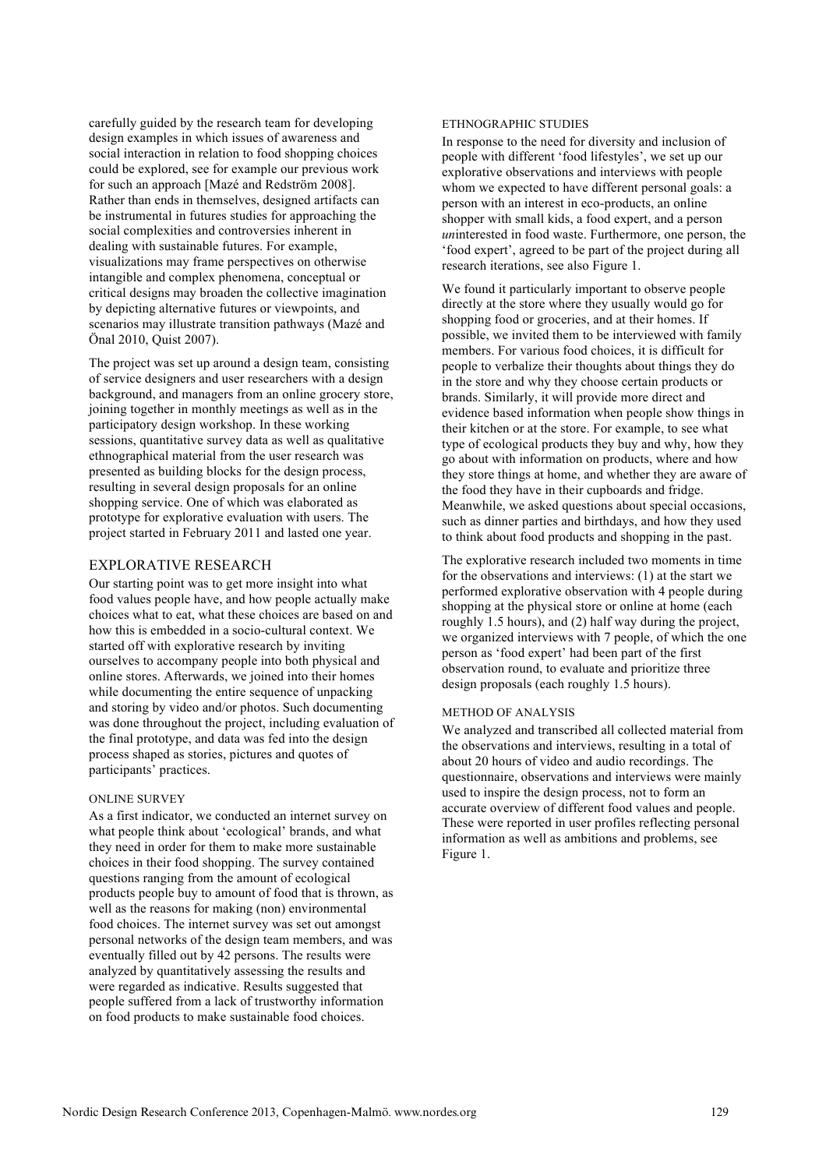carefully guided by the research team for developing design examples in which issues of awareness and social interaction in relation to food shopping choices could be explored, see for example our previous work for such an approach [Mazé and Redström 2008]. Rather than ends in themselves, designed artifacts can be instrumental in futures studies for approaching the social complexities and controversies inherent in dealing with sustainable futures. For example, visualizations may frame perspectives on otherwise intangible and complex phenomena, conceptual or critical designs may broaden the collective imagination by depicting alternative futures or viewpoints, and scenarios may illustrate transition pathways (Mazé and Önal 2010, Quist 2007).

The project was set up around a design team, consisting of service designers and user researchers with a design background, and managers from an online grocery store, joining together in monthly meetings as well as in the participatory design workshop. In these working sessions, quantitative survey data as well as qualitative ethnographical material from the user research was presented as building blocks for the design process, resulting in several design proposals for an online shopping service. One of which was elaborated as prototype for explorative evaluation with users. The project started in February 2011 and lasted one year.

## EXPLORATIVE RESEARCH

Our starting point was to get more insight into what food values people have, and how people actually make choices what to eat, what these choices are based on and how this is embedded in a socio-cultural context. We started off with explorative research by inviting ourselves to accompany people into both physical and online stores. Afterwards, we joined into their homes while documenting the entire sequence of unpacking and storing by video and/or photos. Such documenting was done throughout the project, including evaluation of the final prototype, and data was fed into the design process shaped as stories, pictures and quotes of participants' practices.

#### ONLINE SURVEY

As a first indicator, we conducted an internet survey on what people think about 'ecological' brands, and what they need in order for them to make more sustainable choices in their food shopping. The survey contained questions ranging from the amount of ecological products people buy to amount of food that is thrown, as well as the reasons for making (non) environmental food choices. The internet survey was set out amongst personal networks of the design team members, and was eventually filled out by 42 persons. The results were analyzed by quantitatively assessing the results and were regarded as indicative. Results suggested that people suffered from a lack of trustworthy information on food products to make sustainable food choices.

### ETHNOGRAPHIC STUDIES

In response to the need for diversity and inclusion of people with different 'food lifestyles', we set up our explorative observations and interviews with people whom we expected to have different personal goals: a person with an interest in eco-products, an online shopper with small kids, a food expert, and a person *un*interested in food waste. Furthermore, one person, the 'food expert', agreed to be part of the project during all research iterations, see also Figure 1.

We found it particularly important to observe people directly at the store where they usually would go for shopping food or groceries, and at their homes. If possible, we invited them to be interviewed with family members. For various food choices, it is difficult for people to verbalize their thoughts about things they do in the store and why they choose certain products or brands. Similarly, it will provide more direct and evidence based information when people show things in their kitchen or at the store. For example, to see what type of ecological products they buy and why, how they go about with information on products, where and how they store things at home, and whether they are aware of the food they have in their cupboards and fridge. Meanwhile, we asked questions about special occasions, such as dinner parties and birthdays, and how they used to think about food products and shopping in the past.

The explorative research included two moments in time for the observations and interviews: (1) at the start we performed explorative observation with 4 people during shopping at the physical store or online at home (each roughly 1.5 hours), and (2) half way during the project, we organized interviews with 7 people, of which the one person as 'food expert' had been part of the first observation round, to evaluate and prioritize three design proposals (each roughly 1.5 hours).

#### METHOD OF ANALYSIS

We analyzed and transcribed all collected material from the observations and interviews, resulting in a total of about 20 hours of video and audio recordings. The questionnaire, observations and interviews were mainly used to inspire the design process, not to form an accurate overview of different food values and people. These were reported in user profiles reflecting personal information as well as ambitions and problems, see Figure 1.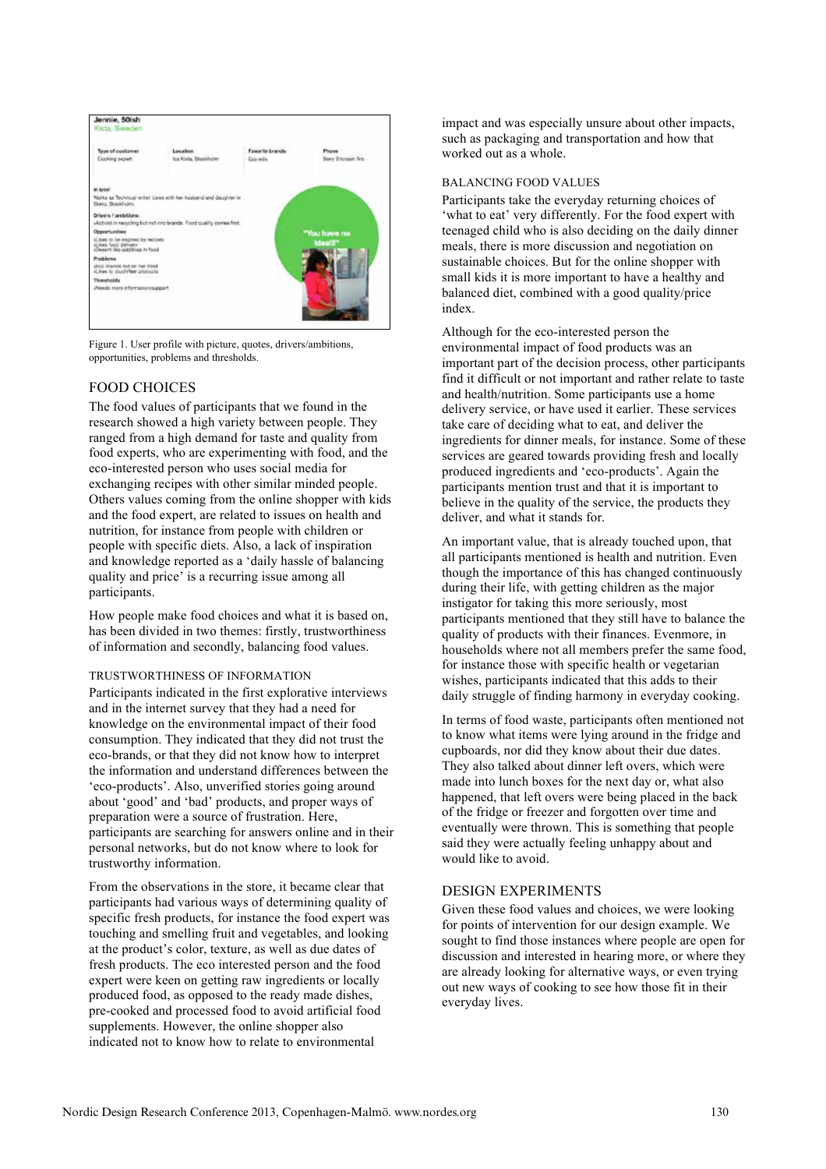

Figure 1. User profile with picture, quotes, drivers/ambitions, opportunities, problems and thresholds.

## FOOD CHOICES

The food values of participants that we found in the research showed a high variety between people. They ranged from a high demand for taste and quality from food experts, who are experimenting with food, and the eco-interested person who uses social media for exchanging recipes with other similar minded people. Others values coming from the online shopper with kids and the food expert, are related to issues on health and nutrition, for instance from people with children or people with specific diets. Also, a lack of inspiration and knowledge reported as a 'daily hassle of balancing quality and price' is a recurring issue among all participants.

How people make food choices and what it is based on, has been divided in two themes: firstly, trustworthiness of information and secondly, balancing food values.

## TRUSTWORTHINESS OF INFORMATION

Participants indicated in the first explorative interviews and in the internet survey that they had a need for knowledge on the environmental impact of their food consumption. They indicated that they did not trust the eco-brands, or that they did not know how to interpret the information and understand differences between the 'eco-products'. Also, unverified stories going around about 'good' and 'bad' products, and proper ways of preparation were a source of frustration. Here, participants are searching for answers online and in their personal networks, but do not know where to look for trustworthy information.

From the observations in the store, it became clear that participants had various ways of determining quality of specific fresh products, for instance the food expert was touching and smelling fruit and vegetables, and looking at the product's color, texture, as well as due dates of fresh products. The eco interested person and the food expert were keen on getting raw ingredients or locally produced food, as opposed to the ready made dishes, pre-cooked and processed food to avoid artificial food supplements. However, the online shopper also indicated not to know how to relate to environmental

impact and was especially unsure about other impacts, such as packaging and transportation and how that worked out as a whole.

## BALANCING FOOD VALUES

Participants take the everyday returning choices of 'what to eat' very differently. For the food expert with teenaged child who is also deciding on the daily dinner meals, there is more discussion and negotiation on sustainable choices. But for the online shopper with small kids it is more important to have a healthy and balanced diet, combined with a good quality/price index.

Although for the eco-interested person the environmental impact of food products was an important part of the decision process, other participants find it difficult or not important and rather relate to taste and health/nutrition. Some participants use a home delivery service, or have used it earlier. These services take care of deciding what to eat, and deliver the ingredients for dinner meals, for instance. Some of these services are geared towards providing fresh and locally produced ingredients and 'eco-products'. Again the participants mention trust and that it is important to believe in the quality of the service, the products they deliver, and what it stands for.

An important value, that is already touched upon, that all participants mentioned is health and nutrition. Even though the importance of this has changed continuously during their life, with getting children as the major instigator for taking this more seriously, most participants mentioned that they still have to balance the quality of products with their finances. Evenmore, in households where not all members prefer the same food, for instance those with specific health or vegetarian wishes, participants indicated that this adds to their daily struggle of finding harmony in everyday cooking.

In terms of food waste, participants often mentioned not to know what items were lying around in the fridge and cupboards, nor did they know about their due dates. They also talked about dinner left overs, which were made into lunch boxes for the next day or, what also happened, that left overs were being placed in the back of the fridge or freezer and forgotten over time and eventually were thrown. This is something that people said they were actually feeling unhappy about and would like to avoid.

## DESIGN EXPERIMENTS

Given these food values and choices, we were looking for points of intervention for our design example. We sought to find those instances where people are open for discussion and interested in hearing more, or where they are already looking for alternative ways, or even trying out new ways of cooking to see how those fit in their everyday lives.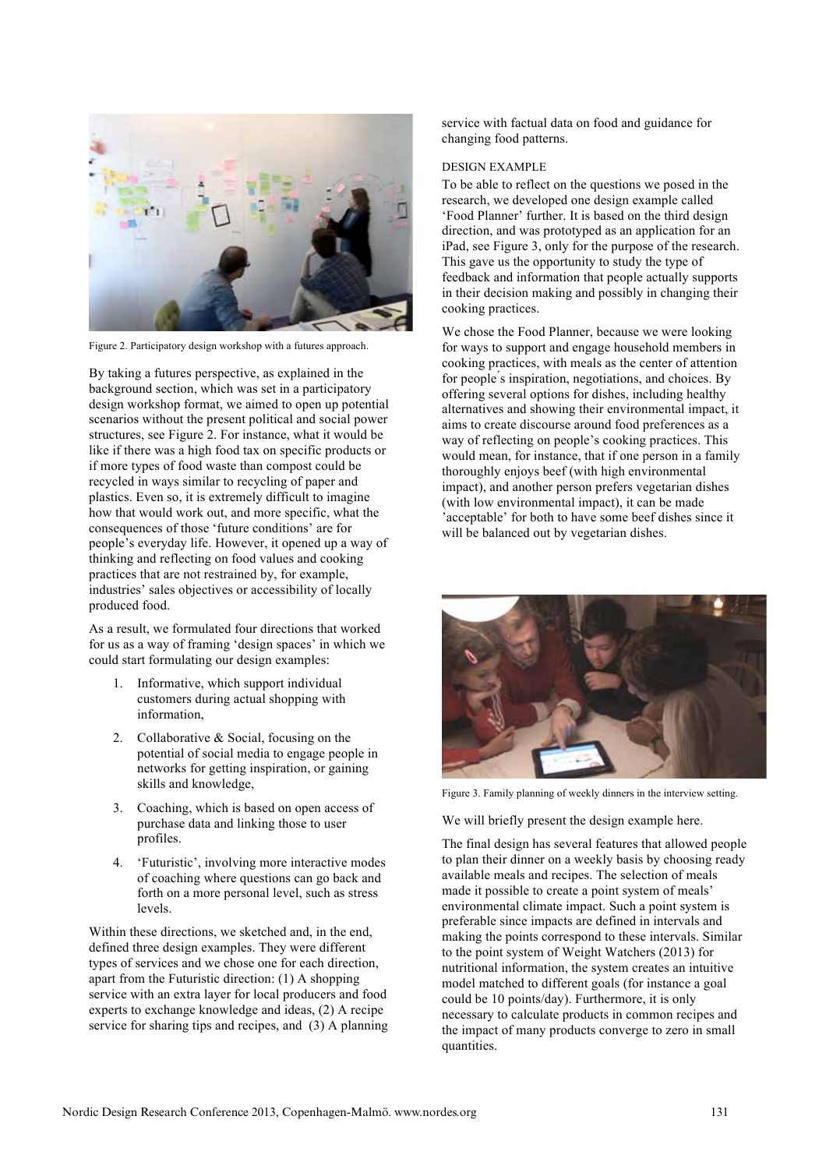

Figure 2. Participatory design workshop with a futures approach.

By taking a futures perspective, as explained in the background section, which was set in a participatory design workshop format, we aimed to open up potential scenarios without the present political and social power structures, see Figure 2. For instance, what it would be like if there was a high food tax on specific products or if more types of food waste than compost could be recycled in ways similar to recycling of paper and plastics. Even so, it is extremely difficult to imagine how that would work out, and more specific, what the consequences of those 'future conditions' are for people's everyday life. However, it opened up a way of thinking and reflecting on food values and cooking practices that are not restrained by, for example, industries' sales objectives or accessibility of locally produced food.

As a result, we formulated four directions that worked for us as a way of framing 'design spaces' in which we could start formulating our design examples:

- 1. Informative, which support individual customers during actual shopping with information,
- 2. Collaborative & Social, focusing on the potential of social media to engage people in networks for getting inspiration, or gaining skills and knowledge,
- 3. Coaching, which is based on open access of purchase data and linking those to user profiles.
- 4. 'Futuristic', involving more interactive modes of coaching where questions can go back and forth on a more personal level, such as stress levels.

Within these directions, we sketched and, in the end, defined three design examples. They were different types of services and we chose one for each direction, apart from the Futuristic direction: (1) A shopping service with an extra layer for local producers and food experts to exchange knowledge and ideas, (2) A recipe service for sharing tips and recipes, and (3) A planning service with factual data on food and guidance for changing food patterns.

## DESIGN EXAMPLE

To be able to reflect on the questions we posed in the research, we developed one design example called 'Food Planner' further. It is based on the third design direction, and was prototyped as an application for an iPad, see Figure 3, only for the purpose of the research. This gave us the opportunity to study the type of feedback and information that people actually supports in their decision making and possibly in changing their cooking practices.

We chose the Food Planner, because we were looking for ways to support and engage household members in cooking practices, with meals as the center of attention for people's inspiration, negotiations, and choices. By offering several options for dishes, including healthy alternatives and showing their environmental impact, it aims to create discourse around food preferences as a way of reflecting on people's cooking practices. This would mean, for instance, that if one person in a family thoroughly enjoys beef (with high environmental impact), and another person prefers vegetarian dishes (with low environmental impact), it can be made 'acceptable' for both to have some beef dishes since it will be balanced out by vegetarian dishes.



Figure 3. Family planning of weekly dinners in the interview setting.

We will briefly present the design example here.

The final design has several features that allowed people to plan their dinner on a weekly basis by choosing ready available meals and recipes. The selection of meals made it possible to create a point system of meals' environmental climate impact. Such a point system is preferable since impacts are defined in intervals and making the points correspond to these intervals. Similar to the point system of Weight Watchers (2013) for nutritional information, the system creates an intuitive model matched to different goals (for instance a goal could be 10 points/day). Furthermore, it is only necessary to calculate products in common recipes and the impact of many products converge to zero in small quantities.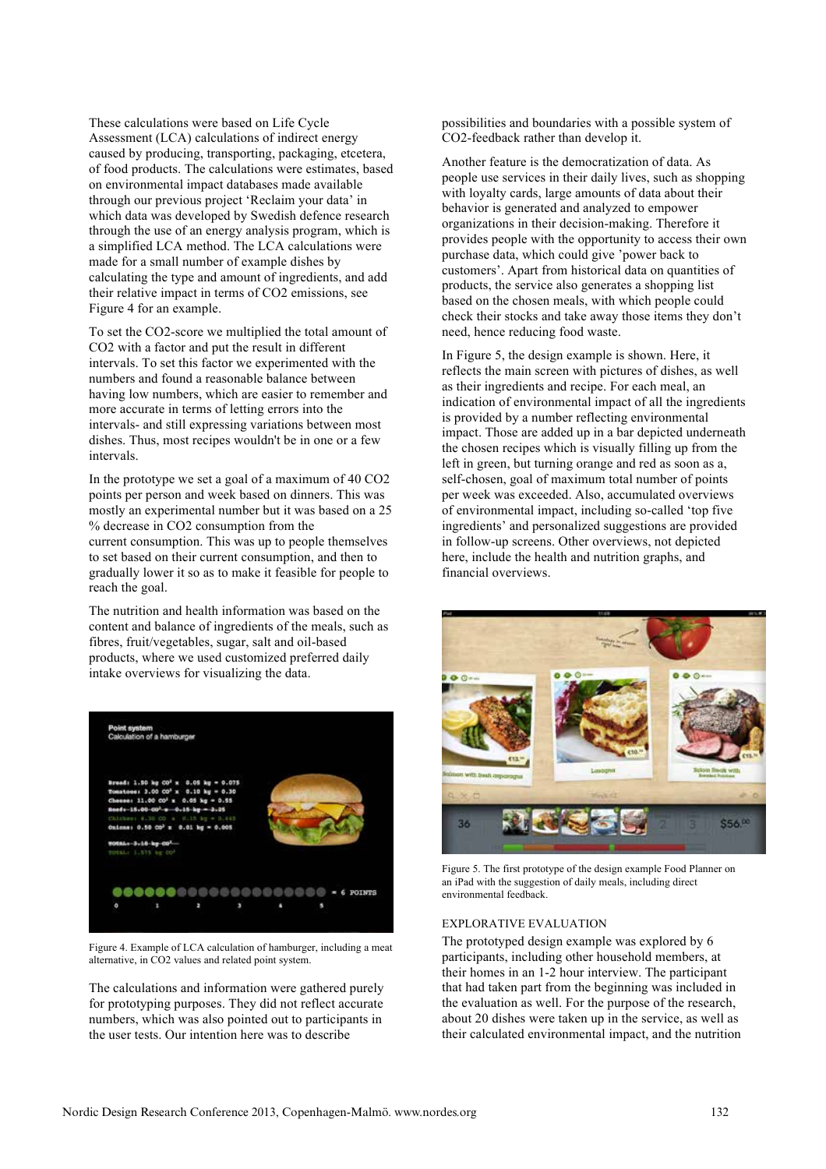These calculations were based on Life Cycle Assessment (LCA) calculations of indirect energy caused by producing, transporting, packaging, etcetera, of food products. The calculations were estimates, based on environmental impact databases made available through our previous project 'Reclaim your data' in which data was developed by Swedish defence research through the use of an energy analysis program, which is a simplified LCA method. The LCA calculations were made for a small number of example dishes by calculating the type and amount of ingredients, and add their relative impact in terms of CO2 emissions, see Figure 4 for an example.

To set the CO2-score we multiplied the total amount of CO2 with a factor and put the result in different intervals. To set this factor we experimented with the numbers and found a reasonable balance between having low numbers, which are easier to remember and more accurate in terms of letting errors into the intervals- and still expressing variations between most dishes. Thus, most recipes wouldn't be in one or a few intervals.

In the prototype we set a goal of a maximum of 40 CO2 points per person and week based on dinners. This was mostly an experimental number but it was based on a 25 % decrease in CO2 consumption from the current consumption. This was up to people themselves to set based on their current consumption, and then to gradually lower it so as to make it feasible for people to reach the goal.

The nutrition and health information was based on the content and balance of ingredients of the meals, such as fibres, fruit/vegetables, sugar, salt and oil-based products, where we used customized preferred daily intake overviews for visualizing the data.



Figure 4. Example of LCA calculation of hamburger, including a meat alternative, in CO2 values and related point system.

The calculations and information were gathered purely for prototyping purposes. They did not reflect accurate numbers, which was also pointed out to participants in the user tests. Our intention here was to describe

possibilities and boundaries with a possible system of CO2-feedback rather than develop it.

Another feature is the democratization of data. As people use services in their daily lives, such as shopping with loyalty cards, large amounts of data about their behavior is generated and analyzed to empower organizations in their decision-making. Therefore it provides people with the opportunity to access their own purchase data, which could give 'power back to customers'. Apart from historical data on quantities of products, the service also generates a shopping list based on the chosen meals, with which people could check their stocks and take away those items they don't need, hence reducing food waste.

In Figure 5, the design example is shown. Here, it reflects the main screen with pictures of dishes, as well as their ingredients and recipe. For each meal, an indication of environmental impact of all the ingredients is provided by a number reflecting environmental impact. Those are added up in a bar depicted underneath the chosen recipes which is visually filling up from the left in green, but turning orange and red as soon as a, self-chosen, goal of maximum total number of points per week was exceeded. Also, accumulated overviews of environmental impact, including so-called 'top five ingredients' and personalized suggestions are provided in follow-up screens. Other overviews, not depicted here, include the health and nutrition graphs, and financial overviews.



Figure 5. The first prototype of the design example Food Planner on an iPad with the suggestion of daily meals, including direct environmental feedback.

#### EXPLORATIVE EVALUATION

The prototyped design example was explored by 6 participants, including other household members, at their homes in an 1-2 hour interview. The participant that had taken part from the beginning was included in the evaluation as well. For the purpose of the research, about 20 dishes were taken up in the service, as well as their calculated environmental impact, and the nutrition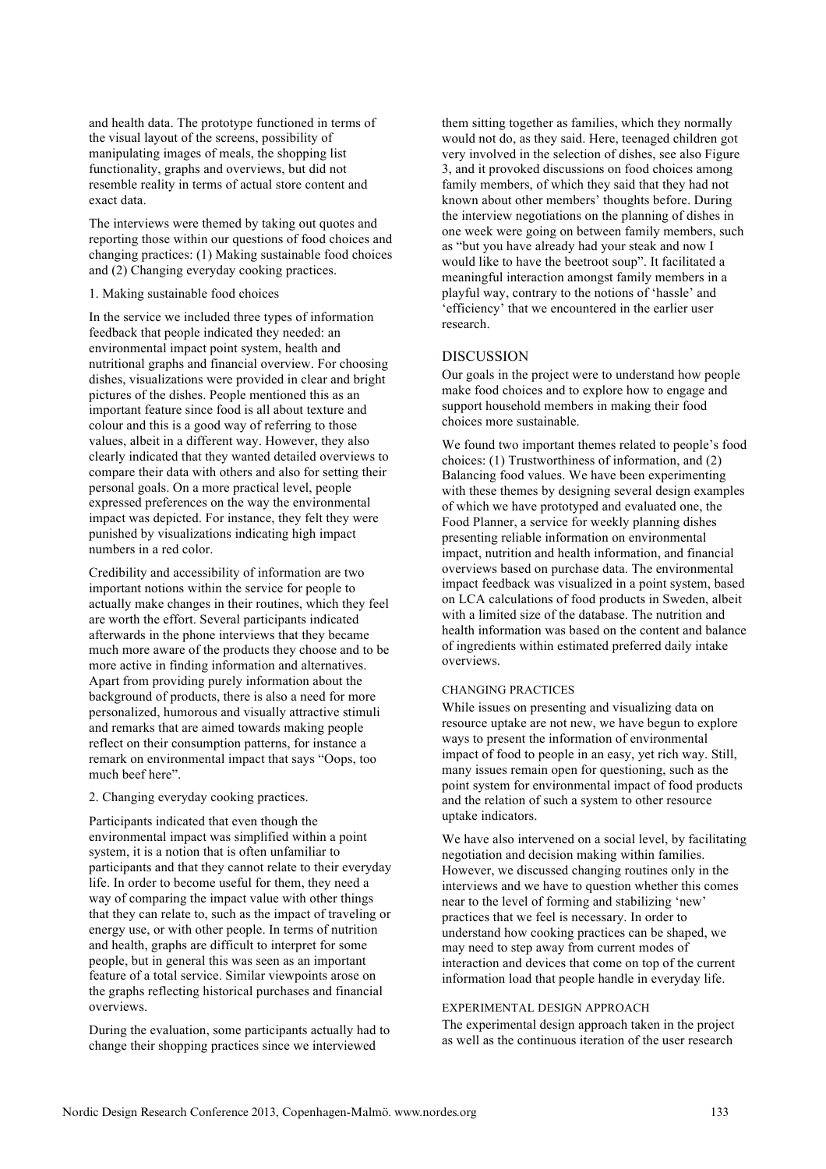and health data. The prototype functioned in terms of the visual layout of the screens, possibility of manipulating images of meals, the shopping list functionality, graphs and overviews, but did not resemble reality in terms of actual store content and exact data.

The interviews were themed by taking out quotes and reporting those within our questions of food choices and changing practices: (1) Making sustainable food choices and (2) Changing everyday cooking practices.

## 1. Making sustainable food choices

In the service we included three types of information feedback that people indicated they needed: an environmental impact point system, health and nutritional graphs and financial overview. For choosing dishes, visualizations were provided in clear and bright pictures of the dishes. People mentioned this as an important feature since food is all about texture and colour and this is a good way of referring to those values, albeit in a different way. However, they also clearly indicated that they wanted detailed overviews to compare their data with others and also for setting their personal goals. On a more practical level, people expressed preferences on the way the environmental impact was depicted. For instance, they felt they were punished by visualizations indicating high impact numbers in a red color.

Credibility and accessibility of information are two important notions within the service for people to actually make changes in their routines, which they feel are worth the effort. Several participants indicated afterwards in the phone interviews that they became much more aware of the products they choose and to be more active in finding information and alternatives. Apart from providing purely information about the background of products, there is also a need for more personalized, humorous and visually attractive stimuli and remarks that are aimed towards making people reflect on their consumption patterns, for instance a remark on environmental impact that says "Oops, too much beef here".

#### 2. Changing everyday cooking practices.

Participants indicated that even though the environmental impact was simplified within a point system, it is a notion that is often unfamiliar to participants and that they cannot relate to their everyday life. In order to become useful for them, they need a way of comparing the impact value with other things that they can relate to, such as the impact of traveling or energy use, or with other people. In terms of nutrition and health, graphs are difficult to interpret for some people, but in general this was seen as an important feature of a total service. Similar viewpoints arose on the graphs reflecting historical purchases and financial overviews.

During the evaluation, some participants actually had to change their shopping practices since we interviewed

them sitting together as families, which they normally would not do, as they said. Here, teenaged children got very involved in the selection of dishes, see also Figure 3, and it provoked discussions on food choices among family members, of which they said that they had not known about other members' thoughts before. During the interview negotiations on the planning of dishes in one week were going on between family members, such as "but you have already had your steak and now I would like to have the beetroot soup". It facilitated a meaningful interaction amongst family members in a playful way, contrary to the notions of 'hassle' and 'efficiency' that we encountered in the earlier user research.

## DISCUSSION

Our goals in the project were to understand how people make food choices and to explore how to engage and support household members in making their food choices more sustainable.

We found two important themes related to people's food choices: (1) Trustworthiness of information, and (2) Balancing food values. We have been experimenting with these themes by designing several design examples of which we have prototyped and evaluated one, the Food Planner, a service for weekly planning dishes presenting reliable information on environmental impact, nutrition and health information, and financial overviews based on purchase data. The environmental impact feedback was visualized in a point system, based on LCA calculations of food products in Sweden, albeit with a limited size of the database. The nutrition and health information was based on the content and balance of ingredients within estimated preferred daily intake overviews.

### CHANGING PRACTICES

While issues on presenting and visualizing data on resource uptake are not new, we have begun to explore ways to present the information of environmental impact of food to people in an easy, yet rich way. Still, many issues remain open for questioning, such as the point system for environmental impact of food products and the relation of such a system to other resource uptake indicators.

We have also intervened on a social level, by facilitating negotiation and decision making within families. However, we discussed changing routines only in the interviews and we have to question whether this comes near to the level of forming and stabilizing 'new' practices that we feel is necessary. In order to understand how cooking practices can be shaped, we may need to step away from current modes of interaction and devices that come on top of the current information load that people handle in everyday life.

### EXPERIMENTAL DESIGN APPROACH

The experimental design approach taken in the project as well as the continuous iteration of the user research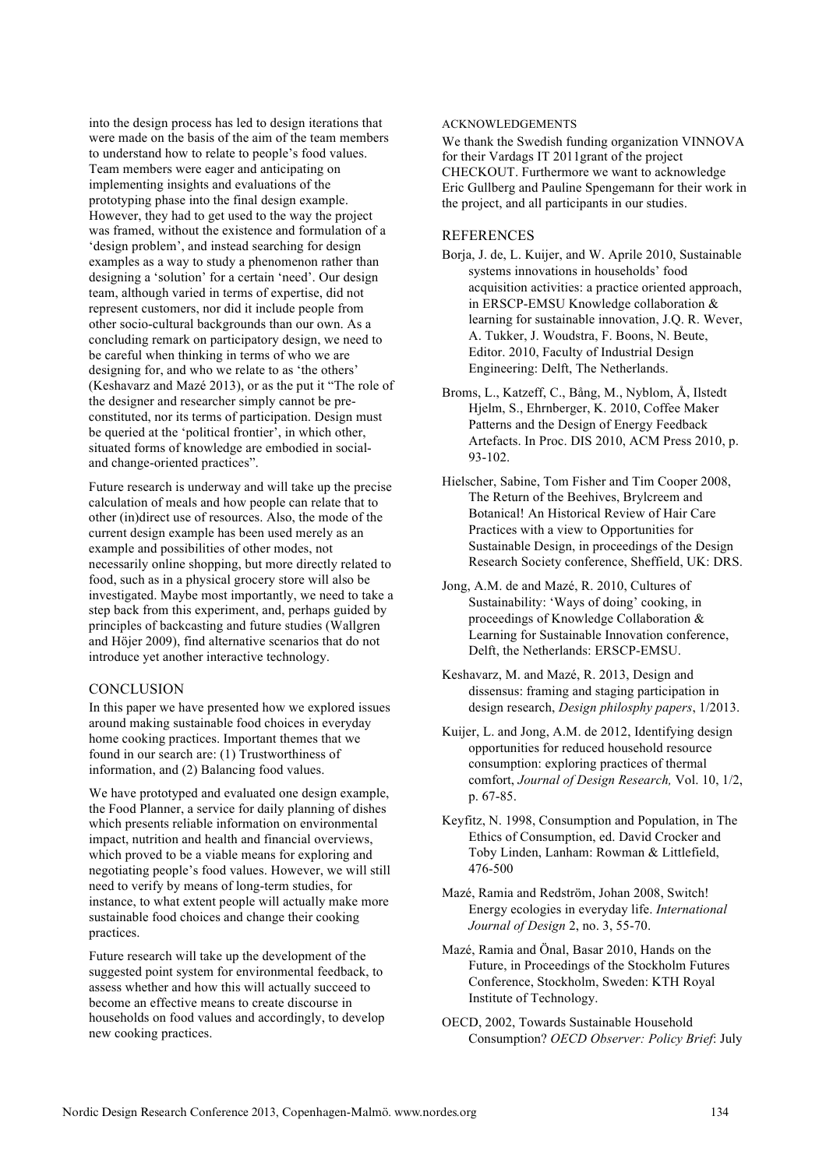into the design process has led to design iterations that were made on the basis of the aim of the team members to understand how to relate to people's food values. Team members were eager and anticipating on implementing insights and evaluations of the prototyping phase into the final design example. However, they had to get used to the way the project was framed, without the existence and formulation of a 'design problem', and instead searching for design examples as a way to study a phenomenon rather than designing a 'solution' for a certain 'need'. Our design team, although varied in terms of expertise, did not represent customers, nor did it include people from other socio-cultural backgrounds than our own. As a concluding remark on participatory design, we need to be careful when thinking in terms of who we are designing for, and who we relate to as 'the others' (Keshavarz and Mazé 2013), or as the put it "The role of the designer and researcher simply cannot be preconstituted, nor its terms of participation. Design must be queried at the 'political frontier', in which other, situated forms of knowledge are embodied in socialand change-oriented practices".

Future research is underway and will take up the precise calculation of meals and how people can relate that to other (in)direct use of resources. Also, the mode of the current design example has been used merely as an example and possibilities of other modes, not necessarily online shopping, but more directly related to food, such as in a physical grocery store will also be investigated. Maybe most importantly, we need to take a step back from this experiment, and, perhaps guided by principles of backcasting and future studies (Wallgren and Höjer 2009), find alternative scenarios that do not introduce yet another interactive technology.

## **CONCLUSION**

In this paper we have presented how we explored issues around making sustainable food choices in everyday home cooking practices. Important themes that we found in our search are: (1) Trustworthiness of information, and (2) Balancing food values.

We have prototyped and evaluated one design example, the Food Planner, a service for daily planning of dishes which presents reliable information on environmental impact, nutrition and health and financial overviews, which proved to be a viable means for exploring and negotiating people's food values. However, we will still need to verify by means of long-term studies, for instance, to what extent people will actually make more sustainable food choices and change their cooking practices.

Future research will take up the development of the suggested point system for environmental feedback, to assess whether and how this will actually succeed to become an effective means to create discourse in households on food values and accordingly, to develop new cooking practices.

#### ACKNOWLEDGEMENTS

We thank the Swedish funding organization VINNOVA for their Vardags IT 2011grant of the project CHECKOUT. Furthermore we want to acknowledge Eric Gullberg and Pauline Spengemann for their work in the project, and all participants in our studies.

## REFERENCES

- Borja, J. de, L. Kuijer, and W. Aprile 2010, Sustainable systems innovations in households' food acquisition activities: a practice oriented approach, in ERSCP-EMSU Knowledge collaboration & learning for sustainable innovation, J.Q. R. Wever, A. Tukker, J. Woudstra, F. Boons, N. Beute, Editor. 2010, Faculty of Industrial Design Engineering: Delft, The Netherlands.
- Broms, L., Katzeff, C., Bång, M., Nyblom, Å, Ilstedt Hjelm, S., Ehrnberger, K. 2010, Coffee Maker Patterns and the Design of Energy Feedback Artefacts. In Proc. DIS 2010, ACM Press 2010, p. 93-102.
- Hielscher, Sabine, Tom Fisher and Tim Cooper 2008, The Return of the Beehives, Brylcreem and Botanical! An Historical Review of Hair Care Practices with a view to Opportunities for Sustainable Design, in proceedings of the Design Research Society conference, Sheffield, UK: DRS.

Jong, A.M. de and Mazé, R. 2010, Cultures of Sustainability: 'Ways of doing' cooking, in proceedings of Knowledge Collaboration & Learning for Sustainable Innovation conference, Delft, the Netherlands: ERSCP-EMSU.

Keshavarz, M. and Mazé, R. 2013, Design and dissensus: framing and staging participation in design research, *Design philosphy papers*, 1/2013.

- Kuijer, L. and Jong, A.M. de 2012, Identifying design opportunities for reduced household resource consumption: exploring practices of thermal comfort, *Journal of Design Research,* Vol. 10, 1/2, p. 67-85.
- Keyfitz, N. 1998, Consumption and Population, in The Ethics of Consumption, ed. David Crocker and Toby Linden, Lanham: Rowman & Littlefield, 476-500
- Mazé, Ramia and Redström, Johan 2008, Switch! Energy ecologies in everyday life. *International Journal of Design* 2, no. 3, 55-70.
- Mazé, Ramia and Önal, Basar 2010, Hands on the Future, in Proceedings of the Stockholm Futures Conference, Stockholm, Sweden: KTH Royal Institute of Technology.
- OECD, 2002, Towards Sustainable Household Consumption? *OECD Observer: Policy Brief*: July